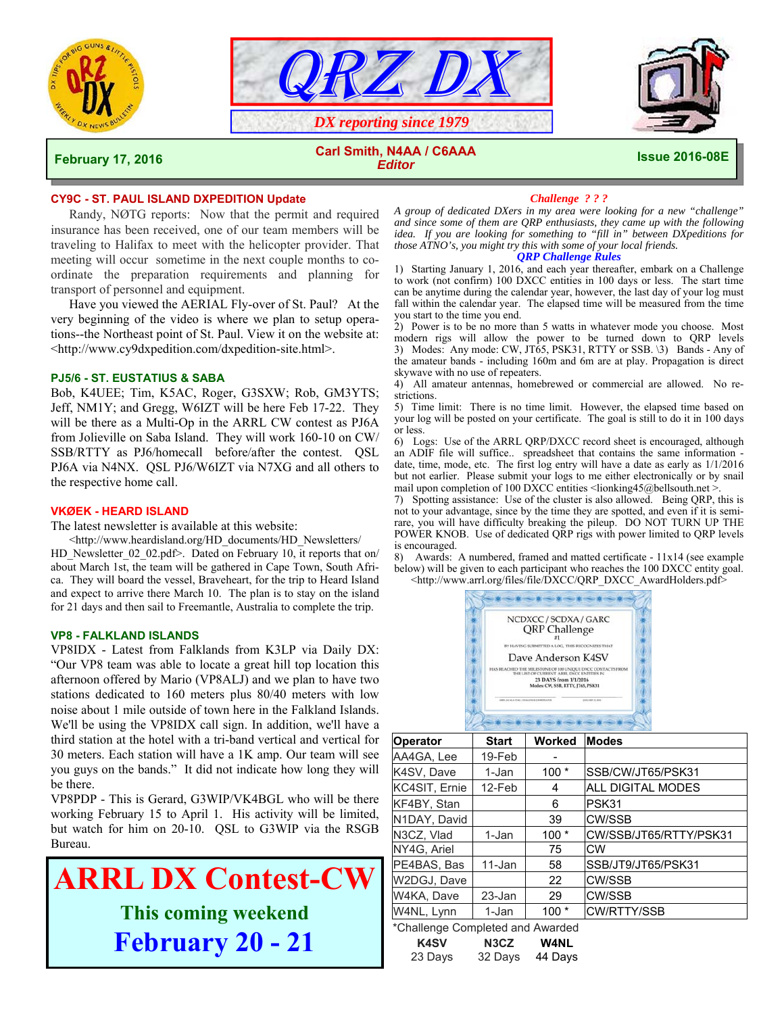





#### **February 17, 2016 Issue 2016-08E Carl Smith, N4AA / C6AAA**  *Editor*

# **CY9C - ST. PAUL ISLAND DXPEDITION Update**

 Randy, NØTG reports: Now that the permit and required insurance has been received, one of our team members will be traveling to Halifax to meet with the helicopter provider. That meeting will occur sometime in the next couple months to coordinate the preparation requirements and planning for transport of personnel and equipment.

Have you viewed the AERIAL Fly-over of St. Paul? At the very beginning of the video is where we plan to setup operations--the Northeast point of St. Paul. View it on the website at: <http://www.cy9dxpedition.com/dxpedition-site.html>.

#### **PJ5/6 - ST. EUSTATIUS & SABA**

Bob, K4UEE; Tim, K5AC, Roger, G3SXW; Rob, GM3YTS; Jeff, NM1Y; and Gregg, W6IZT will be here Feb 17-22. They will be there as a Multi-Op in the ARRL CW contest as PJ6A from Jolieville on Saba Island. They will work 160-10 on CW/ SSB/RTTY as PJ6/homecall before/after the contest. QSL PJ6A via N4NX. QSL PJ6/W6IZT via N7XG and all others to the respective home call.

## **VKØEK - HEARD ISLAND**

The latest newsletter is available at this website:

 <http://www.heardisland.org/HD\_documents/HD\_Newsletters/ HD\_Newsletter\_02\_02.pdf>. Dated on February 10, it reports that on/ about March 1st, the team will be gathered in Cape Town, South Africa. They will board the vessel, Braveheart, for the trip to Heard Island and expect to arrive there March 10. The plan is to stay on the island for 21 days and then sail to Freemantle, Australia to complete the trip.

#### **VP8 - FALKLAND ISLANDS**

VP8IDX - Latest from Falklands from K3LP via Daily DX: "Our VP8 team was able to locate a great hill top location this afternoon offered by Mario (VP8ALJ) and we plan to have two stations dedicated to 160 meters plus 80/40 meters with low noise about 1 mile outside of town here in the Falkland Islands. We'll be using the VP8IDX call sign. In addition, we'll have a third station at the hotel with a tri-band vertical and vertical for 30 meters. Each station will have a 1K amp. Our team will see you guys on the bands." It did not indicate how long they will be there.

VP8PDP - This is Gerard, G3WIP/VK4BGL who will be there working February 15 to April 1. His activity will be limited, but watch for him on 20-10. QSL to G3WIP via the RSGB Bureau.



### *Challenge ? ? ?*

*A group of dedicated DXers in my area were looking for a new "challenge" and since some of them are QRP enthusiasts, they came up with the following idea. If you are looking for something to "fill in" between DXpeditions for those ATNO's, you might try this with some of your local friends.*

# *QRP Challenge Rules*

1) Starting January 1, 2016, and each year thereafter, embark on a Challenge to work (not confirm) 100 DXCC entities in 100 days or less. The start time can be anytime during the calendar year, however, the last day of your log must fall within the calendar year. The elapsed time will be measured from the time you start to the time you end.

2) Power is to be no more than 5 watts in whatever mode you choose. Most modern rigs will allow the power to be turned down to QRP levels 3) Modes: Any mode: CW, JT65, PSK31, RTTY or SSB. \3) Bands - Any of the amateur bands - including 160m and 6m are at play. Propagation is direct skywave with no use of repeaters.

4) All amateur antennas, homebrewed or commercial are allowed. No restrictions.

5) Time limit: There is no time limit. However, the elapsed time based on your log will be posted on your certificate. The goal is still to do it in 100 days or less.

6) Logs: Use of the ARRL QRP/DXCC record sheet is encouraged, although an ADIF file will suffice.. spreadsheet that contains the same information date, time, mode, etc. The first log entry will have a date as early as 1/1/2016 but not earlier. Please submit your logs to me either electronically or by snail mail upon completion of 100 DXCC entities <lionking45@bellsouth.net >.

7) Spotting assistance: Use of the cluster is also allowed. Being QRP, this is not to your advantage, since by the time they are spotted, and even if it is semirare, you will have difficulty breaking the pileup. DO NOT TURN UP THE POWER KNOB. Use of dedicated QRP rigs with power limited to QRP levels is encouraged.

8) Awards: A numbered, framed and matted certificate - 11x14 (see example below) will be given to each participant who reaches the 100 DXCC entity goal. <http://www.arrl.org/files/file/DXCC/QRP\_DXCC\_AwardHolders.pdf>



| <b>Operator</b>                  | <b>Start</b> | Worked | <b>Modes</b>           |  |  |  |  |  |
|----------------------------------|--------------|--------|------------------------|--|--|--|--|--|
| AA4GA, Lee                       | 19-Feb       |        |                        |  |  |  |  |  |
| K4SV, Dave                       | 1-Jan        | $100*$ | SSB/CW/JT65/PSK31      |  |  |  |  |  |
| KC4SIT, Ernie                    | 12-Feb       | 4      | ALL DIGITAL MODES      |  |  |  |  |  |
| KF4BY, Stan                      |              | 6      | PSK31                  |  |  |  |  |  |
| N1DAY, David                     |              | 39     | <b>CW/SSB</b>          |  |  |  |  |  |
| N3CZ, Vlad                       | 1-Jan        | $100*$ | CW/SSB/JT65/RTTY/PSK31 |  |  |  |  |  |
| NY4G, Ariel                      |              | 75     | CW                     |  |  |  |  |  |
| PE4BAS, Bas                      | 11-Jan       | 58     | SSB/JT9/JT65/PSK31     |  |  |  |  |  |
| W2DGJ, Dave                      |              | 22     | CW/SSB                 |  |  |  |  |  |
| W4KA, Dave                       | 23-Jan       | 29     | CW/SSB                 |  |  |  |  |  |
| W4NL, Lynn                       | 1-Jan        | $100*$ | <b>CW/RTTY/SSB</b>     |  |  |  |  |  |
| *Challenge Completed and Awarded |              |        |                        |  |  |  |  |  |

| <b>K4SV</b> | N3CZ    | <b>W4NL</b> |
|-------------|---------|-------------|
| 23 Days     | 32 Days | 44 Days     |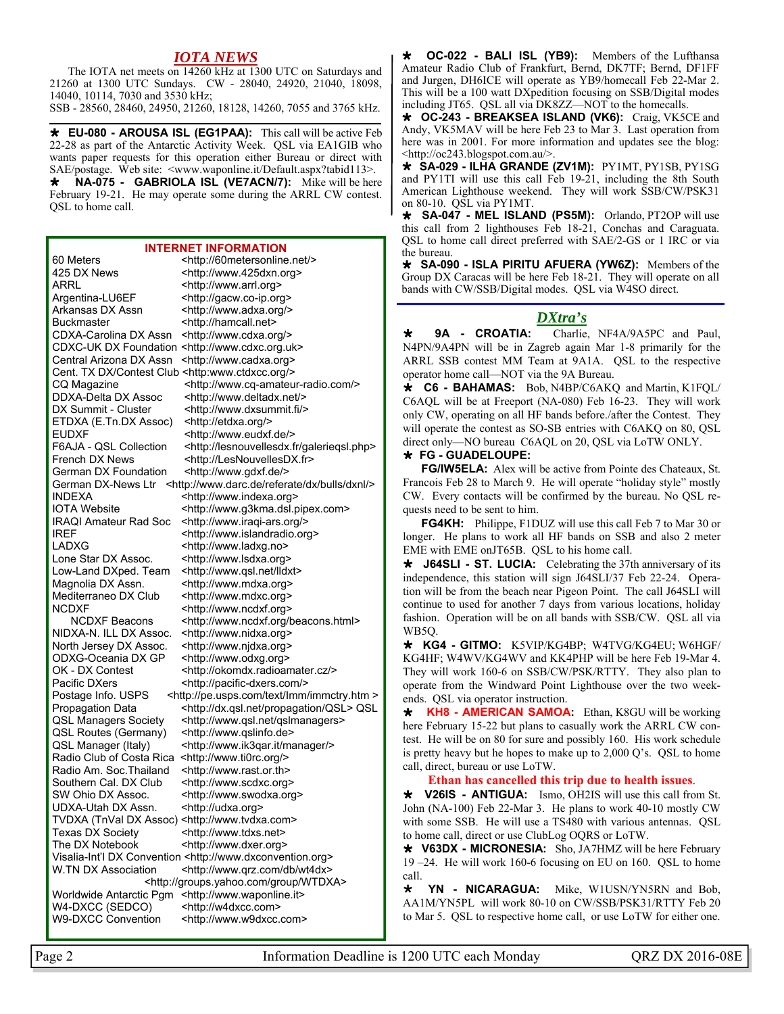# *IOTA NEWS*

 The IOTA net meets on 14260 kHz at 1300 UTC on Saturdays and 21260 at 1300 UTC Sundays. CW - 28040, 24920, 21040, 18098, 14040, 10114, 7030 and 3530 kHz;

SSB - 28560, 28460, 24950, 21260, 18128, 14260, 7055 and 3765 kHz.

 **EU-080 - AROUSA ISL (EG1PAA):** This call will be active Feb 22-28 as part of the Antarctic Activity Week. QSL via EA1GIB who wants paper requests for this operation either Bureau or direct with SAE/postage. Web site: <www.waponline.it/Default.aspx?tabid113>.

 **NA-075 - GABRIOLA ISL (VE7ACN/7):** Mike will be here February 19-21. He may operate some during the ARRL CW contest. QSL to home call.

#### **INTERNET INFORMATION**

60 Meters <http://60metersonline.net/> 425 DX News <http://www.425dxn.org> ARRL <http://www.arrl.org> Argentina-LU6EF <http://gacw.co-ip.org> Arkansas DX Assn <http://www.adxa.org/> Buckmaster <http://hamcall.net> CDXA-Carolina DX Assn <http://www.cdxa.org/> CDXC-UK DX Foundation <http://www.cdxc.org.uk> Central Arizona DX Assn <http://www.cadxa.org> Cent. TX DX/Contest Club <http:www.ctdxcc.org/> DDXA-Delta DX Assoc <http://www.deltadx.net/> DX Summit - Cluster <http://www.dxsummit.fi/> ETDXA (E.Tn.DX Assoc) <http://etdxa.org/> EUDXF <http://www.eudxf.de/> French DX News <http://LesNouvellesDX.fr> German DX Foundation <http://www.gdxf.de/> INDEXA <http://www.indexa.org> IREF <http://www.islandradio.org> LADXG <http://www.ladxg.no> Lone Star DX Assoc. <http://www.lsdxa.org> Low-Land DXped. Team <http://www.qsl.net/lldxt> Magnolia DX Assn. <http://www.mdxa.org> Mediterraneo DX Club <http://www.mdxc.org> NCDXF <http://www.ncdxf.org> NIDXA-N. ILL DX Assoc. <http://www.nidxa.org> North Jersey DX Assoc. <http://www.njdxa.org> ODXG-Oceania DX GP <http://www.odxg.org> Pacific DXers <http://pacific-dxers.com/> QSL Routes (Germany) <http://www.qslinfo.de> QSL Manager (Italy) <http://www.ik3qar.it/manager/> Radio Club of Costa Rica <http://www.ti0rc.org/> Radio Am. Soc.Thailand <http://www.rast.or.th> Southern Cal. DX Club <http://www.scdxc.org><br>SW Ohio DX Assoc. <http://www.swodxa.org UDXA-Utah DX Assn. <http://udxa.org> TVDXA (TnVal DX Assoc) <http://www.tvdxa.com> Texas DX Society <http://www.tdxs.net> The DX Notebook <http://www.dxer.org> Visalia-Int'l DX Convention <http://www.dxconvention.org> Worldwide Antarctic Pgm <http://www.waponline.it> W4-DXCC (SEDCO) <http://w4dxcc.com>

CQ Magazine <http://www.cq-amateur-radio.com/> F6AJA - QSL Collection <http://lesnouvellesdx.fr/galeriegsl.php> German DX-News Ltr <http://www.darc.de/referate/dx/bulls/dxnl/> IOTA Website <http://www.g3kma.dsl.pipex.com><br>IRAQI Amateur Rad Soc <http://www.iragi-ars.org/> <http://www.iraqi-ars.org/> NCDXF Beacons <http://www.ncdxf.org/beacons.html> OK - DX Contest <http://okomdx.radioamater.cz/> Postage Info. USPS <http://pe.usps.com/text/Imm/immctry.htm > Propagation Data <http://dx.qsl.net/propagation/QSL> QSL QSL Managers Society <http://www.qsl.net/qslmanagers>

<http://www.swodxa.org>

W.TN DX Association <http://www.qrz.com/db/wt4dx> <http://groups.yahoo.com/group/WTDXA>

W9-DXCC Convention <http://www.w9dxcc.com>

 **OC-022 - BALI ISL (YB9):** Members of the Lufthansa Amateur Radio Club of Frankfurt, Bernd, DK7TF; Bernd, DF1FF and Jurgen, DH6ICE will operate as YB9/homecall Feb 22-Mar 2. This will be a 100 watt DXpedition focusing on SSB/Digital modes including JT65. QSL all via DK8ZZ—NOT to the homecalls.

 **OC-243 - BREAKSEA ISLAND (VK6):** Craig, VK5CE and Andy, VK5MAV will be here Feb 23 to Mar 3. Last operation from here was in 2001. For more information and updates see the blog: <http://oc243.blogspot.com.au/>.

 **SA-029 - ILHA GRANDE (ZV1M):** PY1MT, PY1SB, PY1SG and PY1TI will use this call Feb 19-21, including the 8th South American Lighthouse weekend. They will work SSB/CW/PSK31 on 80-10. QSL via PY1MT.

 **SA-047 - MEL ISLAND (PS5M):** Orlando, PT2OP will use this call from 2 lighthouses Feb 18-21, Conchas and Caraguata. QSL to home call direct preferred with SAE/2-GS or 1 IRC or via the bureau.

 **SA-090 - ISLA PIRITU AFUERA (YW6Z):** Members of the Group DX Caracas will be here Feb 18-21. They will operate on all bands with CW/SSB/Digital modes. QSL via W4SO direct.

# *DXtra's*

 **9A - CROATIA:** Charlie, NF4A/9A5PC and Paul, N4PN/9A4PN will be in Zagreb again Mar 1-8 primarily for the ARRL SSB contest MM Team at 9A1A. QSL to the respective operator home call—NOT via the 9A Bureau.

 **C6 - BAHAMAS:** Bob, N4BP/C6AKQ and Martin, K1FQL/ C6AQL will be at Freeport (NA-080) Feb 16-23. They will work only CW, operating on all HF bands before./after the Contest. They will operate the contest as SO-SB entries with C6AKQ on 80, QSL direct only—NO bureau C6AQL on 20, QSL via LoTW ONLY.

#### **FG - GUADELOUPE:**

 **FG/IW5ELA:** Alex will be active from Pointe des Chateaux, St. Francois Feb 28 to March 9. He will operate "holiday style" mostly CW. Every contacts will be confirmed by the bureau. No QSL requests need to be sent to him.

**FG4KH:** Philippe, F1DUZ will use this call Feb 7 to Mar 30 or longer. He plans to work all HF bands on SSB and also 2 meter EME with EME onJT65B. QSL to his home call.

 **J64SLI - ST. LUCIA:** Celebrating the 37th anniversary of its independence, this station will sign J64SLI/37 Feb 22-24. Operation will be from the beach near Pigeon Point. The call J64SLI will continue to used for another 7 days from various locations, holiday fashion. Operation will be on all bands with SSB/CW. QSL all via WB5Q.

 **KG4 - GITMO:** K5VIP/KG4BP; W4TVG/KG4EU; W6HGF/ KG4HF; W4WV/KG4WV and KK4PHP will be here Feb 19-Mar 4. They will work 160-6 on SSB/CW/PSK/RTTY. They also plan to operate from the Windward Point Lighthouse over the two weekends. QSL via operator instruction.

**KH8 - AMERICAN SAMOA:** Ethan, K8GU will be working here February 15-22 but plans to casually work the ARRL CW contest. He will be on 80 for sure and possibly 160. His work schedule is pretty heavy but he hopes to make up to 2,000 Q's. QSL to home call, direct, bureau or use LoTW.

**Ethan has cancelled this trip due to health issues**.

 **V26IS - ANTIGUA:** Ismo, OH2IS will use this call from St. John (NA-100) Feb 22-Mar 3. He plans to work 40-10 mostly CW with some SSB. He will use a TS480 with various antennas. QSL to home call, direct or use ClubLog OQRS or LoTW.

 **V63DX - MICRONESIA:** Sho, JA7HMZ will be here February 19 –24. He will work 160-6 focusing on EU on 160. QSL to home call.

 **YN - NICARAGUA:** Mike, W1USN/YN5RN and Bob, AA1M/YN5PL will work 80-10 on CW/SSB/PSK31/RTTY Feb 20 to Mar 5. QSL to respective home call, or use LoTW for either one.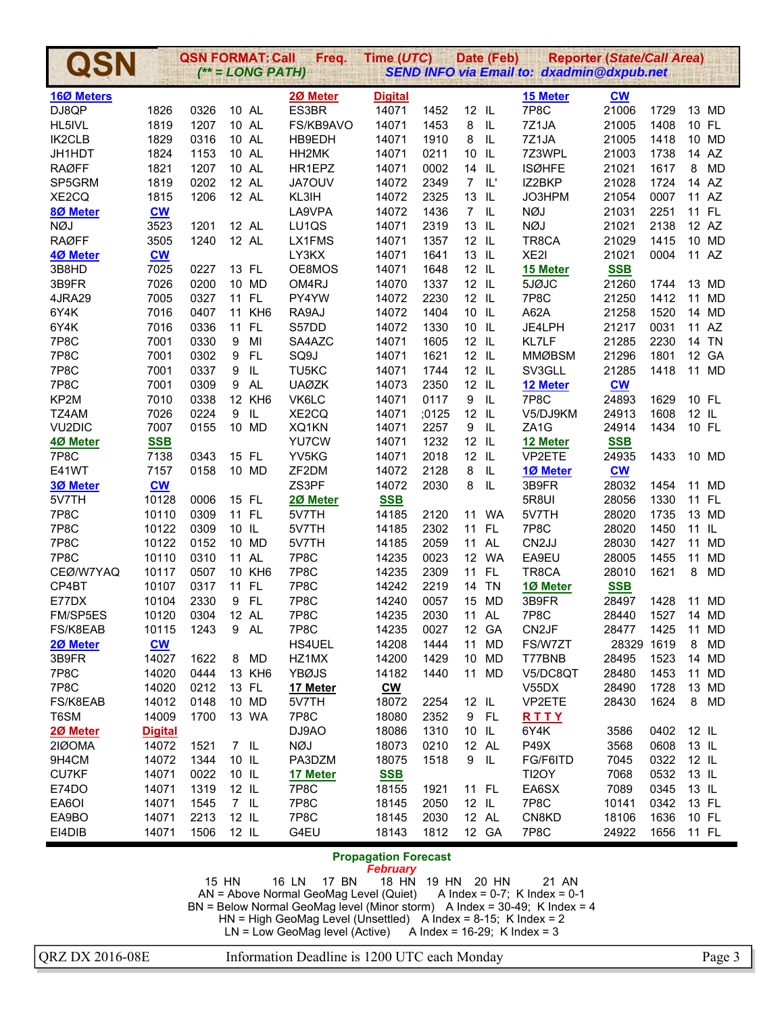|                        |                           | <b>QSN FORMAT: Call</b> |                     | $(*=LONG PATH)$ | Freq.            | Time (UTC)                                     |              |                  | Date (Feb)                        | <b>SEND INFO via Email to: dxadmin@dxpub.net</b> | <b>Reporter (State/Call Area)</b> |              |         |                    |
|------------------------|---------------------------|-------------------------|---------------------|-----------------|------------------|------------------------------------------------|--------------|------------------|-----------------------------------|--------------------------------------------------|-----------------------------------|--------------|---------|--------------------|
|                        |                           |                         |                     |                 |                  |                                                |              |                  |                                   |                                                  |                                   |              |         |                    |
| 16Ø Meters             |                           |                         |                     |                 | 20 Meter         | <b>Digital</b>                                 |              |                  |                                   | 15 Meter                                         | $CM$                              |              |         |                    |
| DJ8QP                  | 1826                      | 0326                    |                     | 10 AL           | ES3BR            | 14071                                          | 1452         | 12 IL            |                                   | 7P8C                                             | 21006                             | 1729         |         | 13 MD              |
| HL5IVL                 | 1819                      | 1207                    |                     | 10 AL           | FS/KB9AVO        | 14071                                          | 1453         | 8                | IL                                | 7Z1JA                                            | 21005                             | 1408         | 10 FL   |                    |
| IK2CLB                 | 1829                      | 0316                    |                     | 10 AL           | HB9EDH           | 14071                                          | 1910         | 8                | $\mathsf{IL}$                     | 7Z1JA                                            | 21005                             | 1418         |         | 10 MD              |
| JH1HDT                 | 1824                      | 1153                    |                     | 10 AL           | HH2MK            | 14071                                          | 0211<br>0002 | 10 IL            |                                   | 7Z3WPL                                           | 21003                             | 1738<br>1617 | 8       | 14 AZ<br><b>MD</b> |
| <b>RAØFF</b><br>SP5GRM | 1821<br>1819              | 1207<br>0202            |                     | 10 AL<br>12 AL  | HR1EPZ<br>JA7OUV | 14071<br>14072                                 | 2349         | 14 IL            | $7$ IL'                           | <b>ISØHFE</b><br>IZ2BKP                          | 21021<br>21028                    | 1724         |         | 14 AZ              |
| XE2CQ                  | 1815                      | 1206                    |                     | 12 AL           | KL3IH            | 14072                                          | 2325         | 13 IL            |                                   | JO3HPM                                           | 21054                             | 0007         |         | 11 AZ              |
| 80 Meter               | $CM$                      |                         |                     |                 | LA9VPA           | 14072                                          | 1436         |                  | $7$ IL                            | <b>NØJ</b>                                       | 21031                             | 2251         |         | 11 FL              |
| <b>NØJ</b>             | 3523                      | 1201                    |                     | 12 AL           | LU1QS            | 14071                                          | 2319         | 13 IL            |                                   | <b>NØJ</b>                                       | 21021                             | 2138         |         | 12 AZ              |
| <b>RAØFF</b>           | 3505                      | 1240                    |                     | 12 AL           | LX1FMS           | 14071                                          | 1357         | $12$ IL          |                                   | TR8CA                                            | 21029                             | 1415         |         | 10 MD              |
| 4Ø Meter               | $\underline{\mathbf{CW}}$ |                         |                     |                 | LY3KX            | 14071                                          | 1641         | 13 IL            |                                   | XE2I                                             | 21021                             | 0004         |         | 11 AZ              |
| 3B8HD                  | 7025                      | 0227                    |                     | 13 FL           | OE8MOS           | 14071                                          | 1648         | 12 IL            |                                   | 15 Meter                                         | <b>SSB</b>                        |              |         |                    |
| 3B9FR                  | 7026                      | 0200                    |                     | 10 MD           | OM4RJ            | 14070                                          | 1337         | $12$ IL          |                                   | 5JØJC                                            | 21260                             | 1744         |         | 13 MD              |
| 4JRA29                 | 7005                      | 0327                    |                     | 11 FL           | PY4YW            | 14072                                          | 2230         | 12 IL            |                                   | 7P8C                                             | 21250                             | 1412         | 11      | <b>MD</b>          |
| 6Y4K                   | 7016                      | 0407                    |                     | 11 KH6          | RA9AJ            | 14072                                          | 1404         | 10 IL            |                                   | A62A                                             | 21258                             | 1520         |         | 14 MD              |
| 6Y4K                   | 7016                      | 0336                    | 11                  | FL.             | S57DD            | 14072                                          | 1330         | 10 IL            |                                   | JE4LPH                                           | 21217                             | 0031         |         | 11 AZ              |
| 7P8C                   | 7001                      | 0330                    | 9                   | MI              | SA4AZC           | 14071                                          | 1605         | 12 IL            |                                   | KL7LF                                            | 21285                             | 2230         |         | 14 TN              |
| 7P8C                   | 7001                      | 0302                    | 9                   | FL.             | SQ9J             | 14071                                          | 1621         | 12 IL            |                                   | <b>MMØBSM</b>                                    | 21296                             | 1801         |         | 12 GA              |
| 7P8C                   | 7001                      | 0337                    | 9                   | $\sf IL$        | TU5KC            | 14071                                          | 1744         | $12$ IL          |                                   | SV3GLL                                           | 21285                             | 1418         |         | 11 MD              |
| 7P8C                   | 7001                      | 0309                    | 9                   | <b>AL</b>       | <b>UAØZK</b>     | 14073                                          | 2350         | 12 IL            |                                   | 12 Meter                                         | $\underline{\mathbf{CW}}$         |              |         |                    |
| KP2M                   | 7010                      | 0338                    |                     | 12 KH6          | VK6LC            | 14071                                          | 0117         | $\boldsymbol{9}$ | $\ensuremath{\mathsf{IL}}\xspace$ | 7P8C                                             | 24893                             | 1629         | 10 FL   |                    |
| TZ4AM                  | 7026                      | 0224                    | 9                   | IL              | XE2CQ            | 14071                                          | ;0125        | 12 IL            |                                   | V5/DJ9KM                                         | 24913                             | 1608         | $12$ IL |                    |
| VU <sub>2</sub> DIC    | 7007                      | 0155                    |                     | 10 MD           | XQ1KN            | 14071                                          | 2257         | 9                | - IL                              | ZA <sub>1</sub> G                                | 24914                             | 1434         | 10 FL   |                    |
| 40 Meter               | <b>SSB</b>                |                         |                     |                 | YU7CW            | 14071                                          | 1232         | 12 IL            |                                   | 12 Meter                                         | <b>SSB</b>                        |              |         |                    |
| 7P8C                   | 7138                      | 0343                    |                     | 15 FL           | YV5KG            | 14071                                          | 2018         | 12 IL            |                                   | VP2ETE                                           | 24935                             | 1433         |         | 10 MD              |
| E41WT                  | 7157                      | 0158                    |                     | 10 MD           | ZF2DM            | 14072                                          | 2128         | 8                | IL                                | 1Ø Meter                                         | $CM$                              |              |         |                    |
| 3Ø Meter               | $\underline{\mathbf{CW}}$ |                         |                     |                 | ZS3PF            | 14072                                          | 2030         | 8                | IL                                | 3B9FR                                            | 28032                             | 1454         | 11      | MD                 |
| 5V7TH                  | 10128                     | 0006                    |                     | 15 FL           | 20 Meter         | <b>SSB</b>                                     |              |                  |                                   | 5R8UI                                            | 28056                             | 1330         | 11 FL   |                    |
| 7P8C                   | 10110                     | 0309                    |                     | 11 FL           | 5V7TH            | 14185                                          | 2120         | 11               | WA                                | 5V7TH                                            | 28020                             | 1735         |         | 13 MD              |
| 7P8C                   | 10122                     | 0309                    | 10 IL               |                 | 5V7TH            | 14185                                          | 2302         | 11               | FL                                | 7P8C                                             | 28020                             | 1450         | 11 IL   |                    |
| 7P8C                   | 10122                     | 0152                    |                     | 10 MD           | 5V7TH            | 14185                                          | 2059         |                  | 11 AL                             | CN <sub>2</sub> JJ                               | 28030                             | 1427         | 11      | <b>MD</b>          |
| 7P8C                   | 10110                     | 0310                    |                     | 11 AL           | 7P8C             | 14235                                          | 0023         |                  | 12 WA                             | EA9EU                                            | 28005                             | 1455         | 11      | <b>MD</b>          |
| CEØ/W7YAQ              | 10117                     | 0507                    |                     | 10 KH6          | 7P8C             | 14235                                          | 2309         |                  | 11 FL                             | TR8CA                                            | 28010                             | 1621         | 8       | <b>MD</b>          |
| CP4BT                  | 10107                     | 0317                    |                     | 11 FL           | 7P8C             | 14242                                          | 2219         | 14               | <b>TN</b>                         | 1Ø Meter                                         | <b>SSB</b>                        |              |         |                    |
| E77DX                  | 10104                     | 2330                    | 9                   | <b>FL</b>       | 7P8C             | 14240                                          | 0057         | 15               | <b>MD</b>                         | 3B9FR                                            | 28497                             | 1428         | 11      | MD                 |
| FM/SP5ES               | 10120                     | 0304                    |                     | 12 AL           | 7P8C             | 14235                                          | 2030         |                  | 11 AL                             | 7P8C                                             | 28440                             | 1527         |         | 14 MD              |
| FS/K8EAB               | 10115                     | 1243                    | 9                   | AL              | 7P8C             | 14235                                          | 0027         |                  | 12 GA                             | CN <sub>2</sub> JF                               | 28477                             | 1425         |         | 11 MD              |
| 20 Meter               | $\underline{\mathbf{CW}}$ |                         |                     |                 | <b>HS4UEL</b>    | 14208                                          | 1444         | 11               | <b>MD</b>                         | FS/W7ZT                                          | 28329 1619                        |              | 8       | <b>MD</b>          |
| 3B9FR                  | 14027                     | 1622                    | 8                   | <b>MD</b>       | HZ1MX            | 14200                                          | 1429         | 10 <sup>°</sup>  | MD                                | T77BNB                                           | 28495                             | 1523         |         | 14 MD              |
| 7P8C                   | 14020                     | 0444                    |                     | 13 KH6          | YBØJS            | 14182                                          | 1440         | 11               | MD                                | V5/DC8QT                                         | 28480                             | 1453         |         | 11 MD              |
| 7P8C                   | 14020                     | 0212                    |                     | 13 FL           | 17 Meter         | $\underline{\mathbf{C}}\underline{\mathbf{W}}$ |              |                  |                                   | V55DX                                            | 28490                             | 1728         |         | 13 MD              |
| FS/K8EAB               | 14012                     | 0148                    |                     | 10 MD           | 5V7TH            | 18072                                          | 2254         | 12 IL            |                                   | VP2ETE                                           | 28430                             | 1624         |         | 8 MD               |
| T6SM                   | 14009                     | 1700                    |                     | 13 WA           | 7P8C             | 18080                                          | 2352         |                  | 9 FL                              | RTTY                                             |                                   |              |         |                    |
| 20 Meter               | <b>Digital</b>            |                         |                     |                 | DJ9AO            | 18086                                          | 1310         | 10 IL            |                                   | 6Y4K                                             | 3586                              | 0402         | 12 IL   |                    |
| 2IØOMA                 | 14072                     | 1521                    | $7 \quad \text{IL}$ |                 | NØJ              | 18073                                          | 0210         |                  | 12 AL                             | P49X                                             | 3568                              | 0608         | 13 IL   |                    |
| 9H4CM                  | 14072                     | 1344                    | 10 IL               |                 | PA3DZM           | 18075                                          | 1518         | 9                | IL                                | FG/F6ITD                                         | 7045                              | 0322         | 12 IL   |                    |
| <b>CU7KF</b>           | 14071                     | 0022                    | $10$ IL             |                 | 17 Meter         | <b>SSB</b>                                     |              |                  |                                   | TI <sub>2</sub> OY                               | 7068                              | 0532         | 13 IL   |                    |
| E74DO                  | 14071                     | 1319                    | $12 \, \text{IL}$   |                 | 7P8C             | 18155                                          | 1921         |                  | 11 FL                             | EA6SX                                            | 7089                              | 0345         | 13 IL   |                    |
| EA6OI                  | 14071                     | 1545                    | $7 \quad \text{IL}$ |                 | 7P8C             | 18145                                          | 2050         | $12$ IL          |                                   | 7P8C                                             | 10141                             | 0342         | 13 FL   |                    |
| EA9BO                  | 14071                     | 2213                    | 12 IL               |                 | 7P8C             | 18145                                          | 2030         |                  | 12 AL                             | CN8KD                                            | 18106                             | 1636         | 10 FL   |                    |
| EI4DIB                 | 14071                     | 1506                    | 12 IL               |                 | G4EU             | 18143                                          | 1812         |                  | 12 GA                             | 7P8C                                             | 24922                             | 1656         | 11 FL   |                    |

# **Propagation Forecast**

*February* 

15 HN 16 LN 17 BN 18 HN 19 HN 20 HN 21 AN<br>AN = Above Normal GeoMag Level (Quiet) A Index = 0-7; K Index = 0-1 AN = Above Normal GeoMag Level (Quiet)

BN = Below Normal GeoMag level (Minor storm) A Index = 30-49; K Index = 4

HN = High GeoMag Level (Unsettled) A Index = 8-15; K Index = 2

 $LN = Low GeoMag$  level (Active) A Index = 16-29; K Index = 3

QRZ DX 2016-08E Information Deadline is 1200 UTC each Monday Page 3